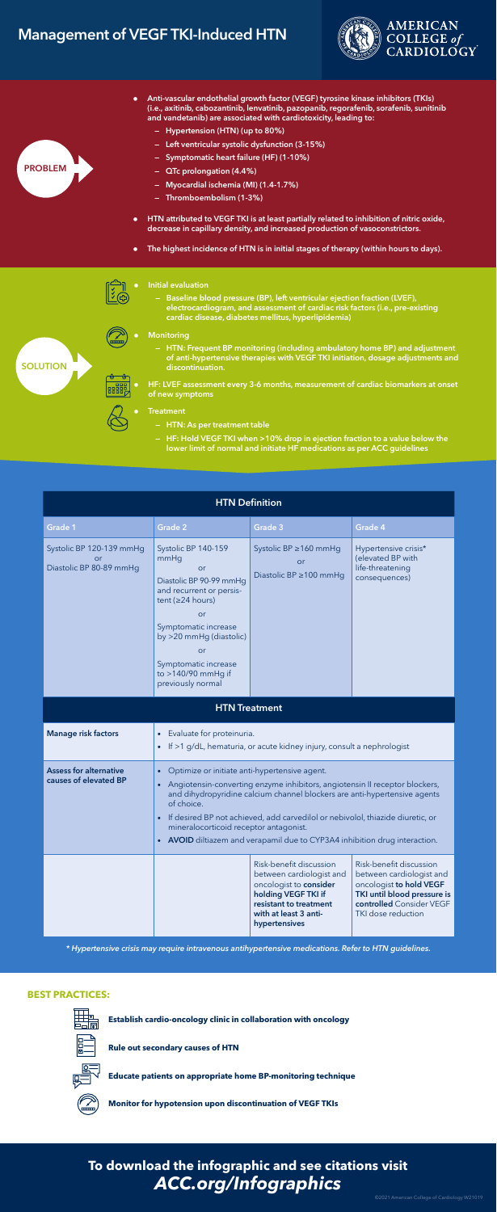## Management of VEGF TKI-Induced HTN

- Anti-vascular endothelial growth factor (VEGF) tyrosine kinase inhibitors (TKIs) (i.e., axitinib, cabozantinib, lenvatinib, pazopanib, regorafenib, sorafenib, sunitinib and vandetanib) are associated with cardiotoxicity, leading to:
	- Hypertension (HTN) (up to 80%)
	- Left ventricular systolic dysfunction (3-15%)
	- Symptomatic heart failure (HF) (1-10%)
	- QTc prolongation (4.4%)
	- Myocardial ischemia (MI) (1.4-1.7%)
	- Thromboembolism (1-3%)
- HTN attributed to VEGF TKI is at least partially related to inhibition of nitric oxide, decrease in capillary density, and increased production of vasoconstrictors.
- The highest incidence of HTN is in initial stages of therapy (within hours to days).





- Initial evaluation
	- Baseline blood pressure (BP), left ventricular ejection fraction (LVEF), electrocardiogram, and assessment of cardiac risk factors (i.e., pre-existing cardiac disease, diabetes mellitus, hyperlipidemia)
- **Monitoring** 
	- HTN: Frequent BP monitoring (including ambulatory home BP) and adjustment of anti-hypertensive therapies with VEGF TKI initiation, dosage adjustments and discontinuation.
	- HF: LVEF assessment every 3-6 months, measurement of cardiac biomarkers at onset of new symptoms
- 
- - **Treatment** 
		- HTN: As per treatment table
		- HF: Hold VEGF TKI when >10% drop in ejection fraction to a value below the lower limit of normal and initiate HF medications as per ACC guidelines

## **To download the infographic and see citations visit** *ACC.org/Infographics*

**Establish cardio-oncology clinic in collaboration with oncology**



**Rule out secondary causes of HTN**



**Educate patients on appropriate home BP-monitoring technique**



**Monitor for hypotension upon discontinuation of VEGF TKIs**

## **BEST PRACTICES:**



| <b>HTN Definition</b>                                     |                                                                                                                                                                                                                                                                                                                                                                                                                                                                                            |                                                                                                                                                                          |                                                                                                                                                                 |
|-----------------------------------------------------------|--------------------------------------------------------------------------------------------------------------------------------------------------------------------------------------------------------------------------------------------------------------------------------------------------------------------------------------------------------------------------------------------------------------------------------------------------------------------------------------------|--------------------------------------------------------------------------------------------------------------------------------------------------------------------------|-----------------------------------------------------------------------------------------------------------------------------------------------------------------|
| Grade 1                                                   | <b>Grade 2</b>                                                                                                                                                                                                                                                                                                                                                                                                                                                                             | Grade 3                                                                                                                                                                  | Grade 4                                                                                                                                                         |
| Systolic BP 120-139 mmHg<br>or<br>Diastolic BP 80-89 mmHq | Systolic BP 140-159<br>mmHg<br><b>or</b><br>Diastolic BP 90-99 mmHg<br>and recurrent or persis-<br>tent ( $\geq$ 24 hours)<br>or<br>Symptomatic increase<br>by >20 mmHg (diastolic)<br><b>or</b><br>Symptomatic increase<br>to >140/90 mmHg if<br>previously normal                                                                                                                                                                                                                        | Systolic BP $\geq$ 160 mmHg<br>or<br>Diastolic BP ≥100 mmHq                                                                                                              | Hypertensive crisis*<br>(elevated BP with<br>life-threatening<br>consequences)                                                                                  |
| <b>HTN Treatment</b>                                      |                                                                                                                                                                                                                                                                                                                                                                                                                                                                                            |                                                                                                                                                                          |                                                                                                                                                                 |
| <b>Manage risk factors</b>                                | Evaluate for proteinuria.<br>$\bullet$<br>If >1 g/dL, hematuria, or acute kidney injury, consult a nephrologist<br>$\bullet$                                                                                                                                                                                                                                                                                                                                                               |                                                                                                                                                                          |                                                                                                                                                                 |
| <b>Assess for alternative</b><br>causes of elevated BP    | Optimize or initiate anti-hypertensive agent.<br>$\bullet$<br>Angiotensin-converting enzyme inhibitors, angiotensin II receptor blockers,<br>$\bullet$<br>and dihydropyridine calcium channel blockers are anti-hypertensive agents<br>of choice.<br>If desired BP not achieved, add carvedilol or nebivolol, thiazide diuretic, or<br>$\bullet$<br>mineralocorticoid receptor antagonist.<br><b>AVOID</b> diltiazem and verapamil due to CYP3A4 inhibition drug interaction.<br>$\bullet$ |                                                                                                                                                                          |                                                                                                                                                                 |
|                                                           |                                                                                                                                                                                                                                                                                                                                                                                                                                                                                            | Risk-benefit discussion<br>between cardiologist and<br>oncologist to consider<br>holding VEGF TKI if<br>resistant to treatment<br>with at least 3 anti-<br>hypertensives | Risk-benefit discussion<br>between cardiologist and<br>oncologist to hold VEGF<br>TKI until blood pressure is<br>controlled Consider VEGF<br>TKI dose reduction |

*\* Hypertensive crisis may require intravenous antihypertensive medications. Refer to HTN guidelines.*



**SOLUTION**